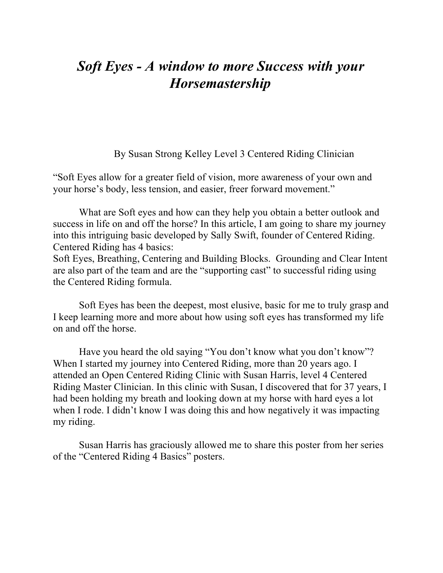## *Soft Eyes - A window to more Success with your Horsemastership*

By Susan Strong Kelley Level 3 Centered Riding Clinician

"Soft Eyes allow for a greater field of vision, more awareness of your own and your horse's body, less tension, and easier, freer forward movement."

What are Soft eyes and how can they help you obtain a better outlook and success in life on and off the horse? In this article, I am going to share my journey into this intriguing basic developed by Sally Swift, founder of Centered Riding. Centered Riding has 4 basics:

Soft Eyes, Breathing, Centering and Building Blocks. Grounding and Clear Intent are also part of the team and are the "supporting cast" to successful riding using the Centered Riding formula.

Soft Eyes has been the deepest, most elusive, basic for me to truly grasp and I keep learning more and more about how using soft eyes has transformed my life on and off the horse.

Have you heard the old saying "You don't know what you don't know"? When I started my journey into Centered Riding, more than 20 years ago. I attended an Open Centered Riding Clinic with Susan Harris, level 4 Centered Riding Master Clinician. In this clinic with Susan, I discovered that for 37 years, I had been holding my breath and looking down at my horse with hard eyes a lot when I rode. I didn't know I was doing this and how negatively it was impacting my riding.

Susan Harris has graciously allowed me to share this poster from her series of the "Centered Riding 4 Basics" posters.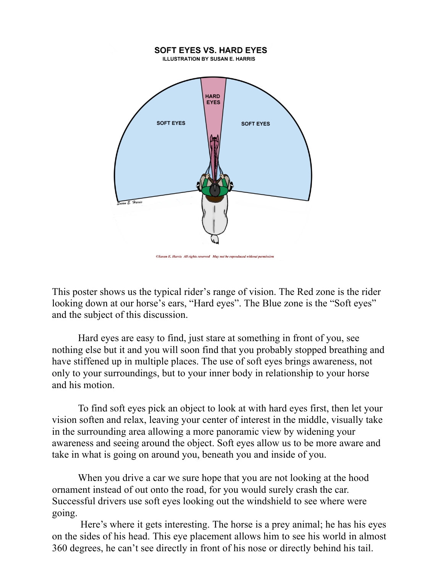

This poster shows us the typical rider's range of vision. The Red zone is the rider looking down at our horse's ears, "Hard eyes". The Blue zone is the "Soft eyes" and the subject of this discussion.

Hard eyes are easy to find, just stare at something in front of you, see nothing else but it and you will soon find that you probably stopped breathing and have stiffened up in multiple places. The use of soft eyes brings awareness, not only to your surroundings, but to your inner body in relationship to your horse and his motion.

To find soft eyes pick an object to look at with hard eyes first, then let your vision soften and relax, leaving your center of interest in the middle, visually take in the surrounding area allowing a more panoramic view by widening your awareness and seeing around the object. Soft eyes allow us to be more aware and take in what is going on around you, beneath you and inside of you.

When you drive a car we sure hope that you are not looking at the hood ornament instead of out onto the road, for you would surely crash the car. Successful drivers use soft eyes looking out the windshield to see where were going.

Here's where it gets interesting. The horse is a prey animal; he has his eyes on the sides of his head. This eye placement allows him to see his world in almost 360 degrees, he can't see directly in front of his nose or directly behind his tail.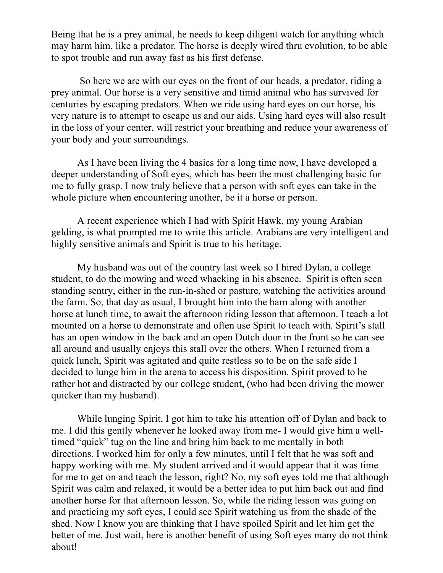Being that he is a prey animal, he needs to keep diligent watch for anything which may harm him, like a predator. The horse is deeply wired thru evolution, to be able to spot trouble and run away fast as his first defense.

So here we are with our eyes on the front of our heads, a predator, riding a prey animal. Our horse is a very sensitive and timid animal who has survived for centuries by escaping predators. When we ride using hard eyes on our horse, his very nature is to attempt to escape us and our aids. Using hard eyes will also result in the loss of your center, will restrict your breathing and reduce your awareness of your body and your surroundings.

As I have been living the 4 basics for a long time now, I have developed a deeper understanding of Soft eyes, which has been the most challenging basic for me to fully grasp. I now truly believe that a person with soft eyes can take in the whole picture when encountering another, be it a horse or person.

A recent experience which I had with Spirit Hawk, my young Arabian gelding, is what prompted me to write this article. Arabians are very intelligent and highly sensitive animals and Spirit is true to his heritage.

My husband was out of the country last week so I hired Dylan, a college student, to do the mowing and weed whacking in his absence. Spirit is often seen standing sentry, either in the run-in-shed or pasture, watching the activities around the farm. So, that day as usual, I brought him into the barn along with another horse at lunch time, to await the afternoon riding lesson that afternoon. I teach a lot mounted on a horse to demonstrate and often use Spirit to teach with. Spirit's stall has an open window in the back and an open Dutch door in the front so he can see all around and usually enjoys this stall over the others. When I returned from a quick lunch, Spirit was agitated and quite restless so to be on the safe side I decided to lunge him in the arena to access his disposition. Spirit proved to be rather hot and distracted by our college student, (who had been driving the mower quicker than my husband).

While lunging Spirit, I got him to take his attention off of Dylan and back to me. I did this gently whenever he looked away from me- I would give him a welltimed "quick" tug on the line and bring him back to me mentally in both directions. I worked him for only a few minutes, until I felt that he was soft and happy working with me. My student arrived and it would appear that it was time for me to get on and teach the lesson, right? No, my soft eyes told me that although Spirit was calm and relaxed, it would be a better idea to put him back out and find another horse for that afternoon lesson. So, while the riding lesson was going on and practicing my soft eyes, I could see Spirit watching us from the shade of the shed. Now I know you are thinking that I have spoiled Spirit and let him get the better of me. Just wait, here is another benefit of using Soft eyes many do not think about!